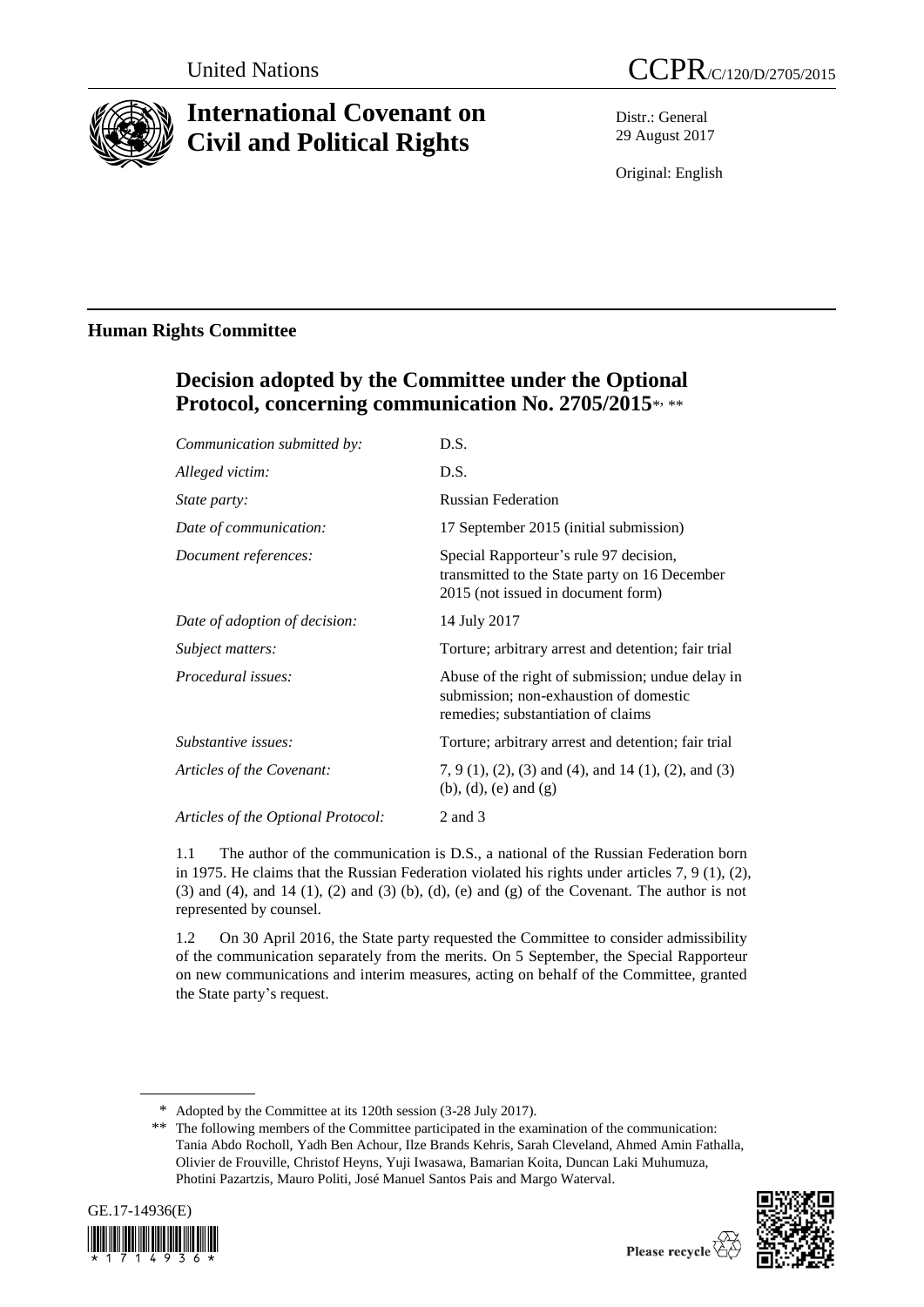

# **International Covenant on Civil and Political Rights**

Distr.: General 29 August 2017

Original: English

# **Human Rights Committee**

# **Decision adopted by the Committee under the Optional Protocol, concerning communication No. 2705/2015**\* , \*\*

| Communication submitted by:        | D.S.                                                                                                                             |
|------------------------------------|----------------------------------------------------------------------------------------------------------------------------------|
| Alleged victim:                    | D.S.                                                                                                                             |
| <i>State party:</i>                | <b>Russian Federation</b>                                                                                                        |
| Date of communication:             | 17 September 2015 (initial submission)                                                                                           |
| Document references:               | Special Rapporteur's rule 97 decision,<br>transmitted to the State party on 16 December<br>2015 (not issued in document form)    |
| Date of adoption of decision:      | 14 July 2017                                                                                                                     |
| <i>Subject matters:</i>            | Torture; arbitrary arrest and detention; fair trial                                                                              |
| Procedural issues:                 | Abuse of the right of submission; undue delay in<br>submission; non-exhaustion of domestic<br>remedies; substantiation of claims |
| Substantive issues:                | Torture; arbitrary arrest and detention; fair trial                                                                              |
| Articles of the Covenant:          | $7, 9$ (1), (2), (3) and (4), and 14 (1), (2), and (3)<br>$(b)$ , $(d)$ , $(e)$ and $(g)$                                        |
| Articles of the Optional Protocol: | $2$ and $3$                                                                                                                      |
|                                    |                                                                                                                                  |

1.1 The author of the communication is D.S., a national of the Russian Federation born in 1975. He claims that the Russian Federation violated his rights under articles 7, 9 (1), (2), (3) and (4), and 14 (1), (2) and (3) (b), (d), (e) and (g) of the Covenant. The author is not represented by counsel.

1.2 On 30 April 2016, the State party requested the Committee to consider admissibility of the communication separately from the merits. On 5 September, the Special Rapporteur on new communications and interim measures, acting on behalf of the Committee, granted the State party's request.

<sup>\*\*</sup> The following members of the Committee participated in the examination of the communication: Tania Abdo Rocholl, Yadh Ben Achour, Ilze Brands Kehris, Sarah Cleveland, Ahmed Amin Fathalla, Olivier de Frouville, Christof Heyns, Yuji Iwasawa, Bamarian Koita, Duncan Laki Muhumuza, Photini Pazartzis, Mauro Politi, José Manuel Santos Pais and Margo Waterval.





<sup>\*</sup> Adopted by the Committee at its 120th session (3-28 July 2017).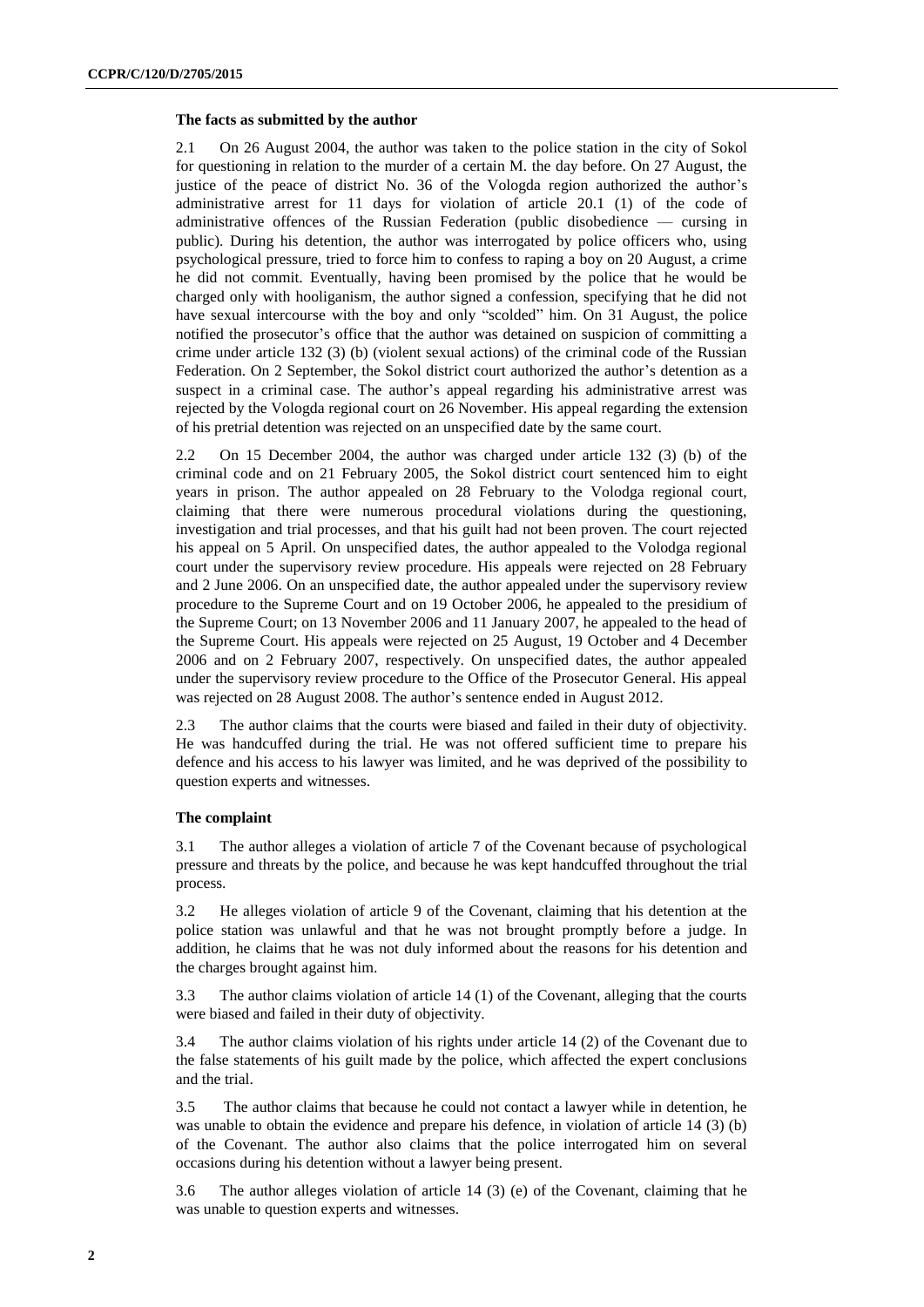#### **The facts as submitted by the author**

2.1 On 26 August 2004, the author was taken to the police station in the city of Sokol for questioning in relation to the murder of a certain M. the day before. On 27 August, the justice of the peace of district No. 36 of the Vologda region authorized the author's administrative arrest for 11 days for violation of article 20.1 (1) of the code of administrative offences of the Russian Federation (public disobedience — cursing in public). During his detention, the author was interrogated by police officers who, using psychological pressure, tried to force him to confess to raping a boy on 20 August, a crime he did not commit. Eventually, having been promised by the police that he would be charged only with hooliganism, the author signed a confession, specifying that he did not have sexual intercourse with the boy and only "scolded" him. On 31 August, the police notified the prosecutor's office that the author was detained on suspicion of committing a crime under article 132 (3) (b) (violent sexual actions) of the criminal code of the Russian Federation. On 2 September, the Sokol district court authorized the author's detention as a suspect in a criminal case. The author's appeal regarding his administrative arrest was rejected by the Vologda regional court on 26 November. His appeal regarding the extension of his pretrial detention was rejected on an unspecified date by the same court.

2.2 On 15 December 2004, the author was charged under article 132 (3) (b) of the criminal code and on 21 February 2005, the Sokol district court sentenced him to eight years in prison. The author appealed on 28 February to the Volodga regional court, claiming that there were numerous procedural violations during the questioning, investigation and trial processes, and that his guilt had not been proven. The court rejected his appeal on 5 April. On unspecified dates, the author appealed to the Volodga regional court under the supervisory review procedure. His appeals were rejected on 28 February and 2 June 2006. On an unspecified date, the author appealed under the supervisory review procedure to the Supreme Court and on 19 October 2006, he appealed to the presidium of the Supreme Court; on 13 November 2006 and 11 January 2007, he appealed to the head of the Supreme Court. His appeals were rejected on 25 August, 19 October and 4 December 2006 and on 2 February 2007, respectively. On unspecified dates, the author appealed under the supervisory review procedure to the Office of the Prosecutor General. His appeal was rejected on 28 August 2008. The author's sentence ended in August 2012.

2.3 The author claims that the courts were biased and failed in their duty of objectivity. He was handcuffed during the trial. He was not offered sufficient time to prepare his defence and his access to his lawyer was limited, and he was deprived of the possibility to question experts and witnesses.

#### **The complaint**

3.1 The author alleges a violation of article 7 of the Covenant because of psychological pressure and threats by the police, and because he was kept handcuffed throughout the trial process.

3.2 He alleges violation of article 9 of the Covenant, claiming that his detention at the police station was unlawful and that he was not brought promptly before a judge. In addition, he claims that he was not duly informed about the reasons for his detention and the charges brought against him.

3.3 The author claims violation of article 14 (1) of the Covenant, alleging that the courts were biased and failed in their duty of objectivity.

3.4 The author claims violation of his rights under article 14 (2) of the Covenant due to the false statements of his guilt made by the police, which affected the expert conclusions and the trial.

3.5 The author claims that because he could not contact a lawyer while in detention, he was unable to obtain the evidence and prepare his defence, in violation of article 14 (3) (b) of the Covenant. The author also claims that the police interrogated him on several occasions during his detention without a lawyer being present.

3.6 The author alleges violation of article 14 (3) (e) of the Covenant, claiming that he was unable to question experts and witnesses.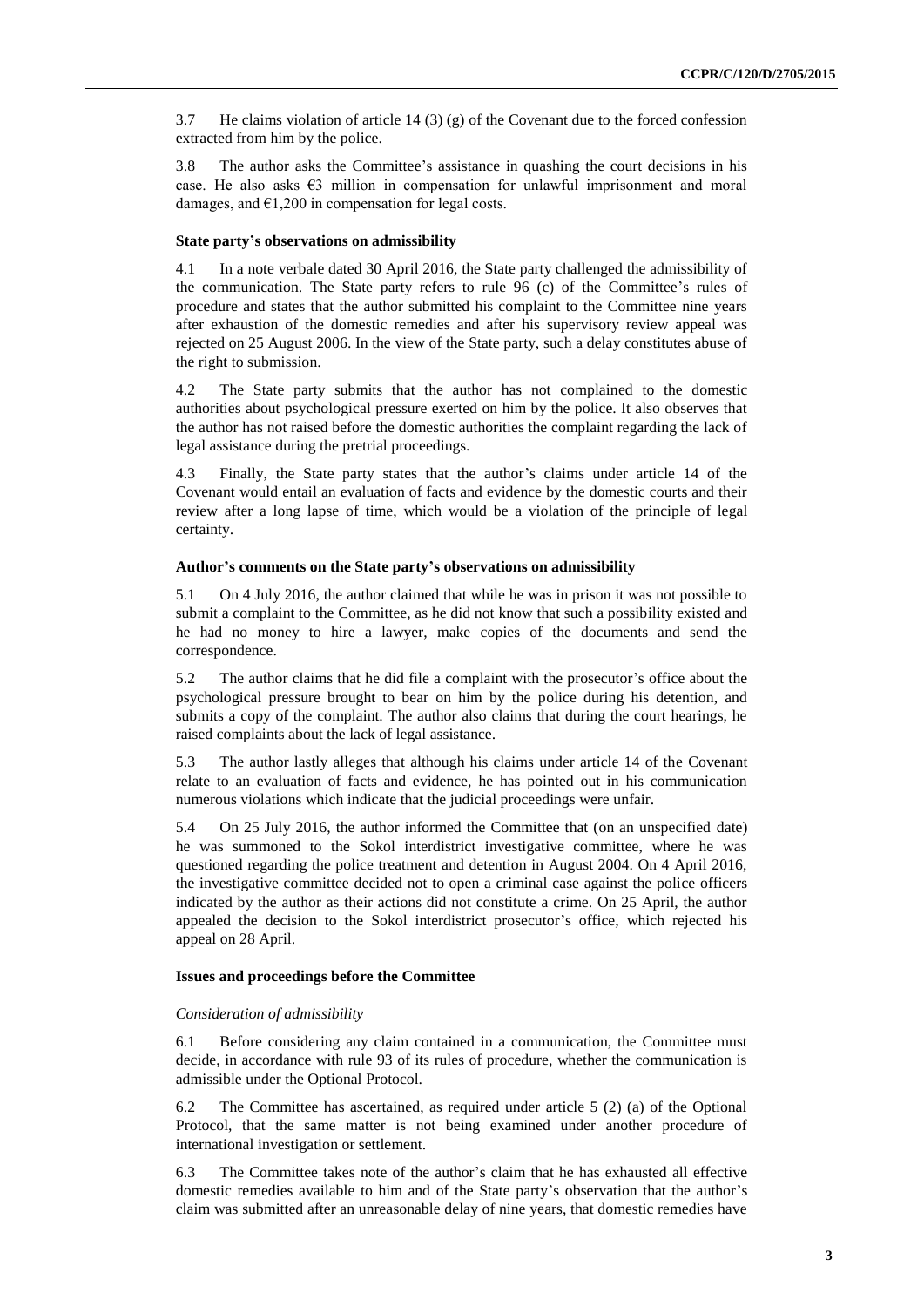3.7 He claims violation of article 14 (3) (g) of the Covenant due to the forced confession extracted from him by the police.

3.8 The author asks the Committee's assistance in quashing the court decisions in his case. He also asks €3 million in compensation for unlawful imprisonment and moral damages, and  $\epsilon$ 1,200 in compensation for legal costs.

#### **State party's observations on admissibility**

4.1 In a note verbale dated 30 April 2016, the State party challenged the admissibility of the communication. The State party refers to rule 96 (c) of the Committee's rules of procedure and states that the author submitted his complaint to the Committee nine years after exhaustion of the domestic remedies and after his supervisory review appeal was rejected on 25 August 2006. In the view of the State party, such a delay constitutes abuse of the right to submission.

4.2 The State party submits that the author has not complained to the domestic authorities about psychological pressure exerted on him by the police. It also observes that the author has not raised before the domestic authorities the complaint regarding the lack of legal assistance during the pretrial proceedings.

4.3 Finally, the State party states that the author's claims under article 14 of the Covenant would entail an evaluation of facts and evidence by the domestic courts and their review after a long lapse of time, which would be a violation of the principle of legal certainty.

### **Author's comments on the State party's observations on admissibility**

5.1 On 4 July 2016, the author claimed that while he was in prison it was not possible to submit a complaint to the Committee, as he did not know that such a possibility existed and he had no money to hire a lawyer, make copies of the documents and send the correspondence.

5.2 The author claims that he did file a complaint with the prosecutor's office about the psychological pressure brought to bear on him by the police during his detention, and submits a copy of the complaint. The author also claims that during the court hearings, he raised complaints about the lack of legal assistance.

5.3 The author lastly alleges that although his claims under article 14 of the Covenant relate to an evaluation of facts and evidence, he has pointed out in his communication numerous violations which indicate that the judicial proceedings were unfair.

5.4 On 25 July 2016, the author informed the Committee that (on an unspecified date) he was summoned to the Sokol interdistrict investigative committee, where he was questioned regarding the police treatment and detention in August 2004. On 4 April 2016, the investigative committee decided not to open a criminal case against the police officers indicated by the author as their actions did not constitute a crime. On 25 April, the author appealed the decision to the Sokol interdistrict prosecutor's office, which rejected his appeal on 28 April.

## **Issues and proceedings before the Committee**

## *Consideration of admissibility*

6.1 Before considering any claim contained in a communication, the Committee must decide, in accordance with rule 93 of its rules of procedure, whether the communication is admissible under the Optional Protocol.

6.2 The Committee has ascertained, as required under article 5 (2) (a) of the Optional Protocol, that the same matter is not being examined under another procedure of international investigation or settlement.

6.3 The Committee takes note of the author's claim that he has exhausted all effective domestic remedies available to him and of the State party's observation that the author's claim was submitted after an unreasonable delay of nine years, that domestic remedies have